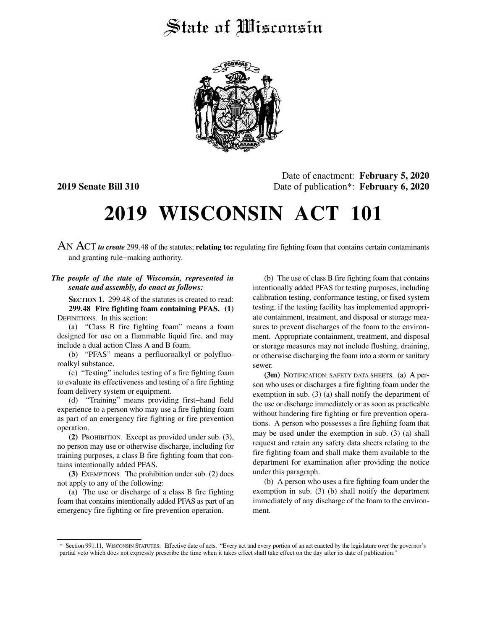## State of Wisconsin



Date of enactment: **February 5, 2020 2019 Senate Bill 310** Date of publication\*: **February 6, 2020**

# **2019 WISCONSIN ACT 101**

AN ACT *to create* 299.48 of the statutes; **relating to:** regulating fire fighting foam that contains certain contaminants and granting rule−making authority.

#### *The people of the state of Wisconsin, represented in senate and assembly, do enact as follows:*

**SECTION 1.** 299.48 of the statutes is created to read: **299.48 Fire fighting foam containing PFAS. (1)** DEFINITIONS. In this section:

(a) "Class B fire fighting foam" means a foam designed for use on a flammable liquid fire, and may include a dual action Class A and B foam.

(b) "PFAS" means a perfluoroalkyl or polyfluoroalkyl substance.

(c) "Testing" includes testing of a fire fighting foam to evaluate its effectiveness and testing of a fire fighting foam delivery system or equipment.

(d) "Training" means providing first−hand field experience to a person who may use a fire fighting foam as part of an emergency fire fighting or fire prevention operation.

**(2)** PROHIBITION. Except as provided under sub. (3), no person may use or otherwise discharge, including for training purposes, a class B fire fighting foam that contains intentionally added PFAS.

**(3)** EXEMPTIONS. The prohibition under sub. (2) does not apply to any of the following:

(a) The use or discharge of a class B fire fighting foam that contains intentionally added PFAS as part of an emergency fire fighting or fire prevention operation.

(b) The use of class B fire fighting foam that contains intentionally added PFAS for testing purposes, including calibration testing, conformance testing, or fixed system testing, if the testing facility has implemented appropriate containment, treatment, and disposal or storage measures to prevent discharges of the foam to the environment. Appropriate containment, treatment, and disposal or storage measures may not include flushing, draining, or otherwise discharging the foam into a storm or sanitary sewer.

**(3m)** NOTIFICATION; SAFETY DATA SHEETS. (a) A person who uses or discharges a fire fighting foam under the exemption in sub. (3) (a) shall notify the department of the use or discharge immediately or as soon as practicable without hindering fire fighting or fire prevention operations. A person who possesses a fire fighting foam that may be used under the exemption in sub. (3) (a) shall request and retain any safety data sheets relating to the fire fighting foam and shall make them available to the department for examination after providing the notice under this paragraph.

(b) A person who uses a fire fighting foam under the exemption in sub. (3) (b) shall notify the department immediately of any discharge of the foam to the environment.

<sup>\*</sup> Section 991.11, WISCONSIN STATUTES: Effective date of acts. "Every act and every portion of an act enacted by the legislature over the governor's partial veto which does not expressly prescribe the time when it takes effect shall take effect on the day after its date of publication."